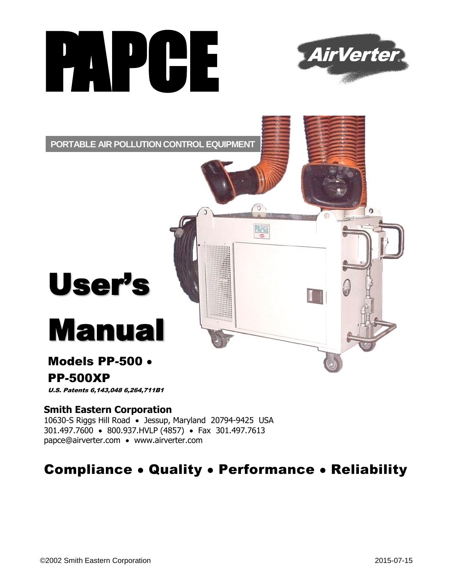



**PORTABLE AIR POLLUTION CONTROL EQUIPMENT**

# User's

# Manual

## Models PP-500

## PP-500XP

U.S. Patents 6,143,048 6,264,711B1

#### **Smith Eastern Corporation**

10630-S Riggs Hill Road · Jessup, Maryland 20794-9425 USA 301.497.7600 • 800.937.HVLP (4857) • Fax 301.497.7613 papce@airverter.com www.airverter.com

# **Compliance . Quality . Performance . Reliability**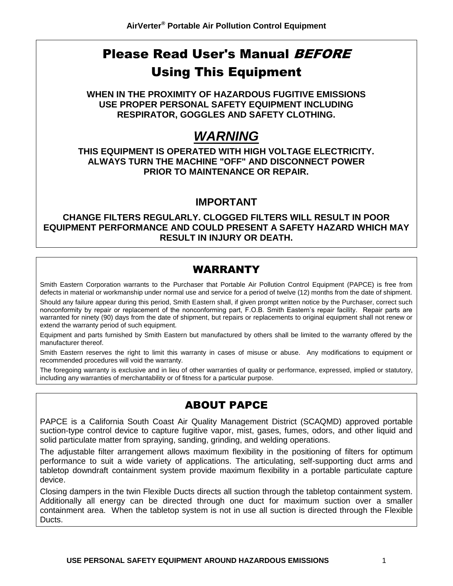# Please Read User's Manual BEFORE Using This Equipment

**WHEN IN THE PROXIMITY OF HAZARDOUS FUGITIVE EMISSIONS USE PROPER PERSONAL SAFETY EQUIPMENT INCLUDING RESPIRATOR, GOGGLES AND SAFETY CLOTHING.**

# *WARNING*

**THIS EQUIPMENT IS OPERATED WITH HIGH VOLTAGE ELECTRICITY. ALWAYS TURN THE MACHINE "OFF" AND DISCONNECT POWER PRIOR TO MAINTENANCE OR REPAIR.**

#### **IMPORTANT**

**CHANGE FILTERS REGULARLY. CLOGGED FILTERS WILL RESULT IN POOR EQUIPMENT PERFORMANCE AND COULD PRESENT A SAFETY HAZARD WHICH MAY RESULT IN INJURY OR DEATH.**

## WARRANTY

Smith Eastern Corporation warrants to the Purchaser that Portable Air Pollution Control Equipment (PAPCE) is free from defects in material or workmanship under normal use and service for a period of twelve (12) months from the date of shipment.

Should any failure appear during this period, Smith Eastern shall, if given prompt written notice by the Purchaser, correct such nonconformity by repair or replacement of the nonconforming part, F.O.B. Smith Eastern's repair facility. Repair parts are warranted for ninety (90) days from the date of shipment, but repairs or replacements to original equipment shall not renew or extend the warranty period of such equipment.

Equipment and parts furnished by Smith Eastern but manufactured by others shall be limited to the warranty offered by the manufacturer thereof.

Smith Eastern reserves the right to limit this warranty in cases of misuse or abuse. Any modifications to equipment or recommended procedures will void the warranty.

The foregoing warranty is exclusive and in lieu of other warranties of quality or performance, expressed, implied or statutory, including any warranties of merchantability or of fitness for a particular purpose.

## ABOUT PAPCE

PAPCE is a California South Coast Air Quality Management District (SCAQMD) approved portable suction-type control device to capture fugitive vapor, mist, gases, fumes, odors, and other liquid and solid particulate matter from spraying, sanding, grinding, and welding operations.

The adjustable filter arrangement allows maximum flexibility in the positioning of filters for optimum performance to suit a wide variety of applications. The articulating, self-supporting duct arms and tabletop downdraft containment system provide maximum flexibility in a portable particulate capture device.

Closing dampers in the twin Flexible Ducts directs all suction through the tabletop containment system. Additionally all energy can be directed through one duct for maximum suction over a smaller containment area. When the tabletop system is not in use all suction is directed through the Flexible Ducts.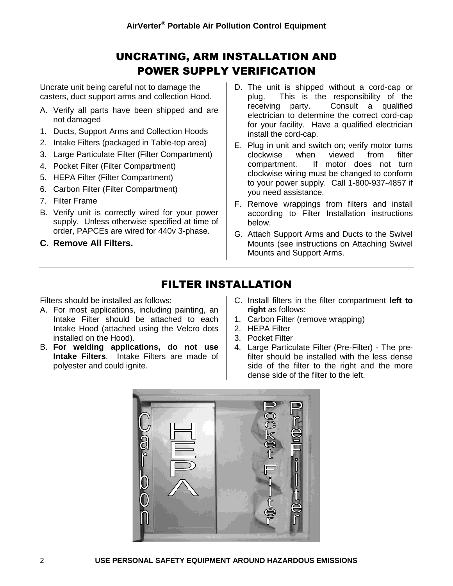## UNCRATING, ARM INSTALLATION AND POWER SUPPLY VERIFICATION

Uncrate unit being careful not to damage the casters, duct support arms and collection Hood.

- A. Verify all parts have been shipped and are not damaged
- 1. Ducts, Support Arms and Collection Hoods
- 2. Intake Filters (packaged in Table-top area)
- 3. Large Particulate Filter (Filter Compartment)
- 4. Pocket Filter (Filter Compartment)
- 5. HEPA Filter (Filter Compartment)
- 6. Carbon Filter (Filter Compartment)
- 7. Filter Frame
- B. Verify unit is correctly wired for your power supply. Unless otherwise specified at time of order, PAPCEs are wired for 440v 3-phase.

**C. Remove All Filters.**

- D. The unit is shipped without a cord-cap or plug. This is the responsibility of the receiving party. Consult a qualified electrician to determine the correct cord-cap for your facility. Have a qualified electrician install the cord-cap.
- E. Plug in unit and switch on; verify motor turns clockwise when viewed from filter compartment. If motor does not turn clockwise wiring must be changed to conform to your power supply. Call 1-800-937-4857 if you need assistance.
- F. Remove wrappings from filters and install according to Filter Installation instructions below.
- G. Attach Support Arms and Ducts to the Swivel Mounts (see instructions on Attaching Swivel Mounts and Support Arms.

## FILTER INSTALLATION

Filters should be installed as follows:

- A. For most applications, including painting, an Intake Filter should be attached to each Intake Hood (attached using the Velcro dots installed on the Hood).
- B. **For welding applications, do not use Intake Filters**. Intake Filters are made of polyester and could ignite.
- C. Install filters in the filter compartment **left to right** as follows:
- 1. Carbon Filter (remove wrapping)
- 2. HEPA Filter
- 3. Pocket Filter
- 4. Large Particulate Filter (Pre-Filter) The prefilter should be installed with the less dense side of the filter to the right and the more dense side of the filter to the left.

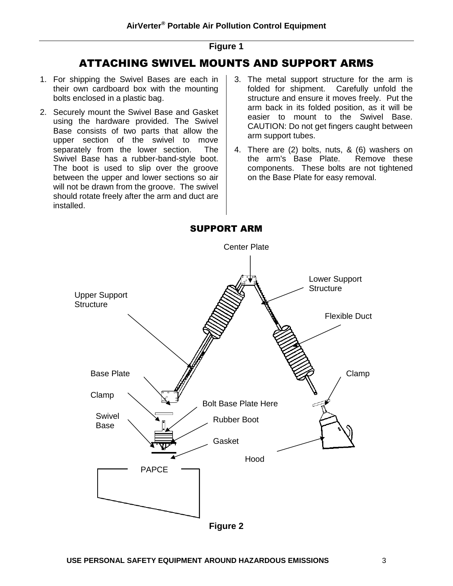#### **Figure 1**

## ATTACHING SWIVEL MOUNTS AND SUPPORT ARMS

- 1. For shipping the Swivel Bases are each in their own cardboard box with the mounting bolts enclosed in a plastic bag.
- 2. Securely mount the Swivel Base and Gasket using the hardware provided. The Swivel Base consists of two parts that allow the upper section of the swivel to move separately from the lower section. The Swivel Base has a rubber-band-style boot. The boot is used to slip over the groove between the upper and lower sections so air will not be drawn from the groove. The swivel should rotate freely after the arm and duct are installed.
- 3. The metal support structure for the arm is folded for shipment. Carefully unfold the structure and ensure it moves freely. Put the arm back in its folded position, as it will be easier to mount to the Swivel Base. CAUTION: Do not get fingers caught between arm support tubes.
- 4. There are (2) bolts, nuts, & (6) washers on the arm's Base Plate. Remove these components. These bolts are not tightened on the Base Plate for easy removal.

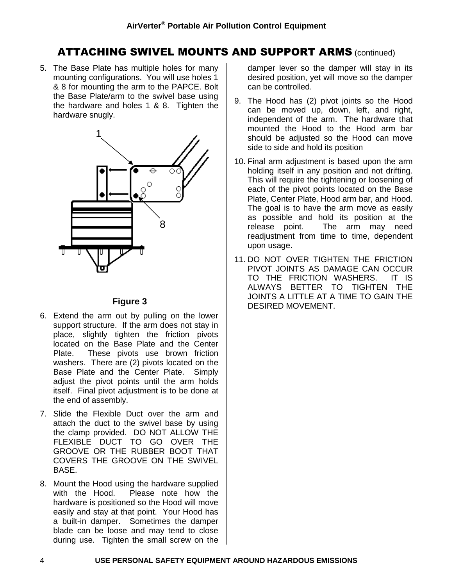## ATTACHING SWIVEL MOUNTS AND SUPPORT ARMS (continued)

5. The Base Plate has multiple holes for many mounting configurations. You will use holes 1 & 8 for mounting the arm to the PAPCE. Bolt the Base Plate/arm to the swivel base using the hardware and holes 1 & 8. Tighten the hardware snugly.



#### **Figure 3**

- 6. Extend the arm out by pulling on the lower support structure. If the arm does not stay in place, slightly tighten the friction pivots located on the Base Plate and the Center Plate. These pivots use brown friction washers. There are (2) pivots located on the Base Plate and the Center Plate. Simply adjust the pivot points until the arm holds itself. Final pivot adjustment is to be done at the end of assembly.
- 7. Slide the Flexible Duct over the arm and attach the duct to the swivel base by using the clamp provided. DO NOT ALLOW THE FLEXIBLE DUCT TO GO OVER THE GROOVE OR THE RUBBER BOOT THAT COVERS THE GROOVE ON THE SWIVEL BASE.
- 8. Mount the Hood using the hardware supplied with the Hood. Please note how the hardware is positioned so the Hood will move easily and stay at that point. Your Hood has a built-in damper. Sometimes the damper blade can be loose and may tend to close during use. Tighten the small screw on the

damper lever so the damper will stay in its desired position, yet will move so the damper can be controlled.

- 9. The Hood has (2) pivot joints so the Hood can be moved up, down, left, and right, independent of the arm. The hardware that mounted the Hood to the Hood arm bar should be adjusted so the Hood can move side to side and hold its position
- 10. Final arm adjustment is based upon the arm holding itself in any position and not drifting. This will require the tightening or loosening of each of the pivot points located on the Base Plate, Center Plate, Hood arm bar, and Hood. The goal is to have the arm move as easily as possible and hold its position at the release point. The arm may need readjustment from time to time, dependent upon usage.
- 11. DO NOT OVER TIGHTEN THE FRICTION PIVOT JOINTS AS DAMAGE CAN OCCUR TO THE FRICTION WASHERS. IT IS ALWAYS BETTER TO TIGHTEN THE JOINTS A LITTLE AT A TIME TO GAIN THE DESIRED MOVEMENT.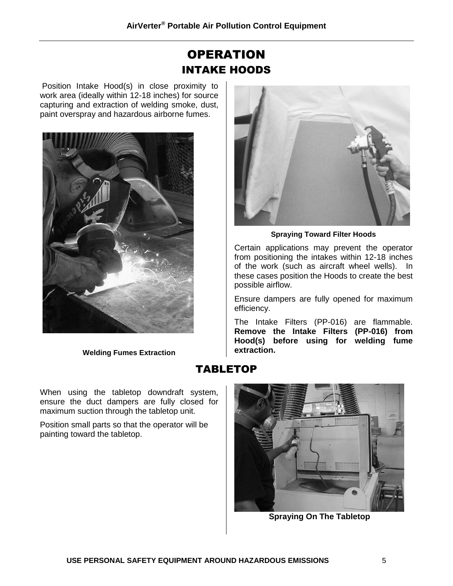## **OPERATION** INTAKE HOODS

Position Intake Hood(s) in close proximity to work area (ideally within 12-18 inches) for source capturing and extraction of welding smoke, dust, paint overspray and hazardous airborne fumes.



**Welding Fumes Extraction**

When using the tabletop downdraft system, ensure the duct dampers are fully closed for maximum suction through the tabletop unit.

Position small parts so that the operator will be painting toward the tabletop.



**Spraying Toward Filter Hoods**

Certain applications may prevent the operator from positioning the intakes within 12-18 inches of the work (such as aircraft wheel wells). In these cases position the Hoods to create the best possible airflow.

Ensure dampers are fully opened for maximum efficiency.

The Intake Filters (PP-016) are flammable. **Remove the Intake Filters (PP-016) from Hood(s) before using for welding fume extraction.**

## TABLETOP



**Spraying On The Tabletop**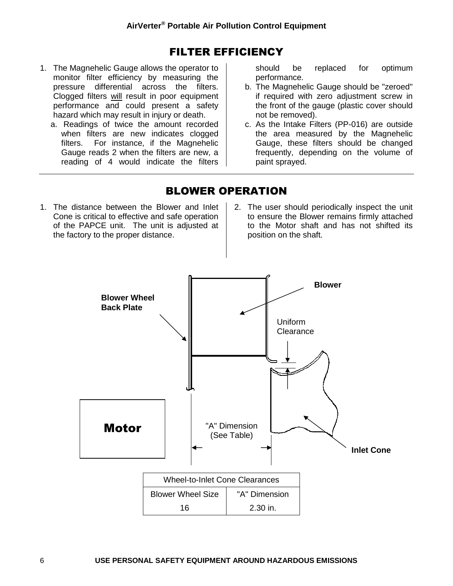## FILTER EFFICIENCY

- 1. The Magnehelic Gauge allows the operator to monitor filter efficiency by measuring the pressure differential across the filters. Clogged filters will result in poor equipment performance and could present a safety hazard which may result in injury or death.
	- a. Readings of twice the amount recorded when filters are new indicates clogged filters. For instance, if the Magnehelic Gauge reads 2 when the filters are new, a reading of 4 would indicate the filters

should be replaced for optimum performance.

- b. The Magnehelic Gauge should be "zeroed" if required with zero adjustment screw in the front of the gauge (plastic cover should not be removed).
- c. As the Intake Filters (PP-016) are outside the area measured by the Magnehelic Gauge, these filters should be changed frequently, depending on the volume of paint sprayed.

## BLOWER OPERATION

- 1. The distance between the Blower and Inlet Cone is critical to effective and safe operation of the PAPCE unit. The unit is adjusted at the factory to the proper distance.
- 2. The user should periodically inspect the unit to ensure the Blower remains firmly attached to the Motor shaft and has not shifted its position on the shaft.

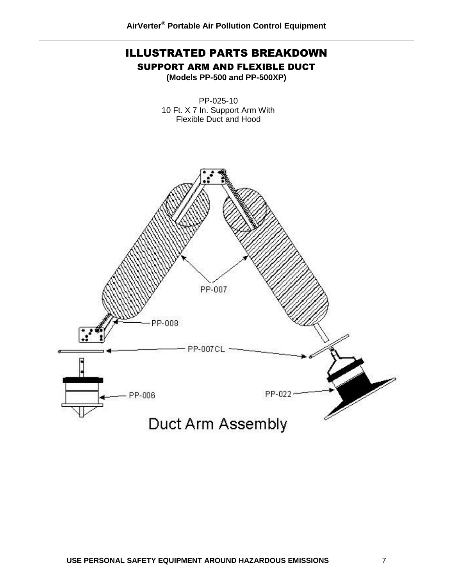# ILLUSTRATED PARTS BREAKDOWN

SUPPORT ARM AND FLEXIBLE DUCT

**(Models PP-500 and PP-500XP)**

PP-025-10 10 Ft. X 7 In. Support Arm With Flexible Duct and Hood

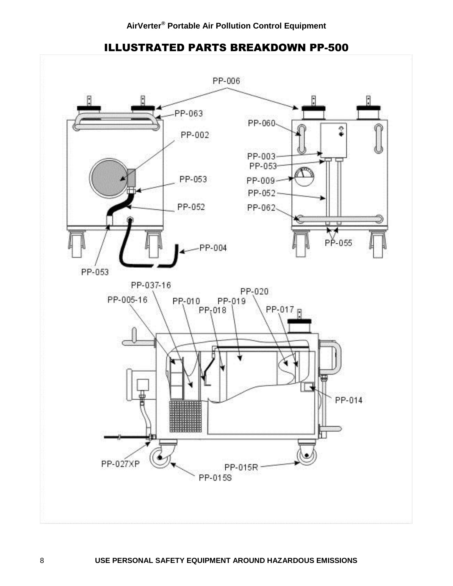

#### ILLUSTRATED PARTS BREAKDOWN PP-500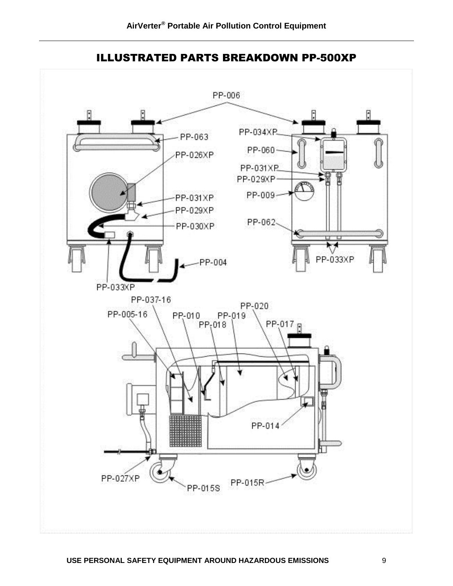

ILLUSTRATED PARTS BREAKDOWN PP-500XP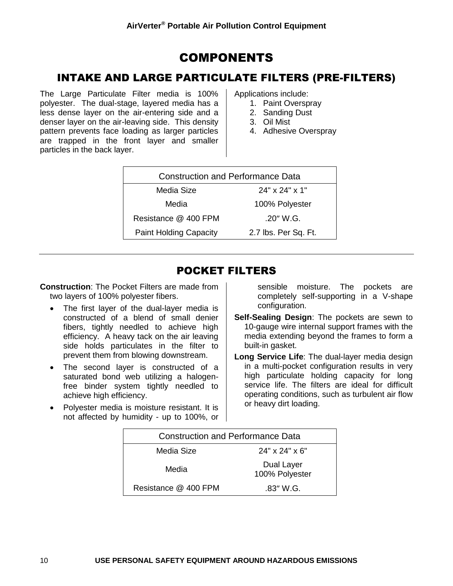## COMPONENTS

## INTAKE AND LARGE PARTICULATE FILTERS (PRE-FILTERS)

The Large Particulate Filter media is 100% polyester. The dual-stage, layered media has a less dense layer on the air-entering side and a denser layer on the air-leaving side. This density pattern prevents face loading as larger particles are trapped in the front layer and smaller particles in the back layer.

Applications include:

- 1. Paint Overspray
- 2. Sanding Dust
- 3. Oil Mist
- 4. Adhesive Overspray

| <b>Construction and Performance Data</b> |                      |  |  |  |
|------------------------------------------|----------------------|--|--|--|
| $24"$ x $24"$ x 1"<br>Media Size         |                      |  |  |  |
| Media                                    | 100% Polyester       |  |  |  |
| Resistance @ 400 FPM                     | $.20''$ W.G.         |  |  |  |
| <b>Paint Holding Capacity</b>            | 2.7 lbs. Per Sq. Ft. |  |  |  |
|                                          |                      |  |  |  |

## POCKET FILTERS

**Construction**: The Pocket Filters are made from two layers of 100% polyester fibers.

- The first layer of the dual-layer media is constructed of a blend of small denier fibers, tightly needled to achieve high efficiency. A heavy tack on the air leaving side holds particulates in the filter to prevent them from blowing downstream.
- The second layer is constructed of a saturated bond web utilizing a halogenfree binder system tightly needled to achieve high efficiency.
- Polyester media is moisture resistant. It is not affected by humidity - up to 100%, or

sensible moisture. The pockets are completely self-supporting in a V-shape configuration.

- **Self-Sealing Design**: The pockets are sewn to 10-gauge wire internal support frames with the media extending beyond the frames to form a built-in gasket.
- **Long Service Life**: The dual-layer media design in a multi-pocket configuration results in very high particulate holding capacity for long service life. The filters are ideal for difficult operating conditions, such as turbulent air flow or heavy dirt loading.

| <b>Construction and Performance Data</b> |                              |  |  |  |
|------------------------------------------|------------------------------|--|--|--|
| Media Size                               | $24" \times 24" \times 6"$   |  |  |  |
| Media                                    | Dual Layer<br>100% Polyester |  |  |  |
| Resistance @ 400 FPM                     | $.83''$ W.G.                 |  |  |  |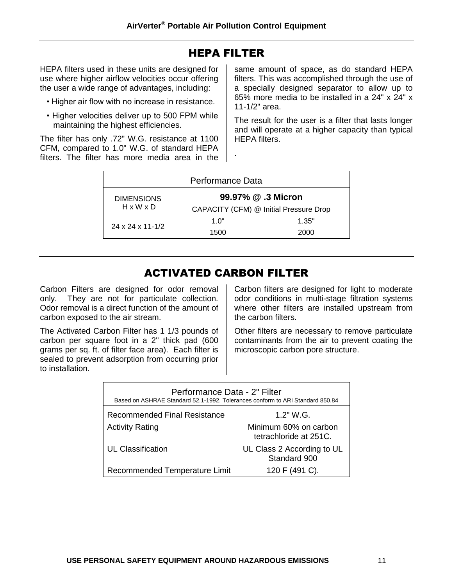#### HEPA FILTER

HEPA filters used in these units are designed for use where higher airflow velocities occur offering the user a wide range of advantages, including:

- Higher air flow with no increase in resistance.
- Higher velocities deliver up to 500 FPM while maintaining the highest efficiencies.

The filter has only .72" W.G. resistance at 1100 CFM, compared to 1.0" W.G. of standard HEPA filters. The filter has more media area in the same amount of space, as do standard HEPA filters. This was accomplished through the use of a specially designed separator to allow up to 65% more media to be installed in a 24" x 24" x 11-1/2" area.

The result for the user is a filter that lasts longer and will operate at a higher capacity than typical HEPA filters.

| Performance Data                        |                                        |       |  |
|-----------------------------------------|----------------------------------------|-------|--|
| 99.97% @ .3 Micron<br><b>DIMENSIONS</b> |                                        |       |  |
| $H \times W \times D$                   | CAPACITY (CFM) @ Initial Pressure Drop |       |  |
| $24 \times 24 \times 11 - 1/2$          | 1 በ"                                   | 1.35" |  |
|                                         | 1500                                   | 2000  |  |

.

## ACTIVATED CARBON FILTER

Carbon Filters are designed for odor removal only. They are not for particulate collection. Odor removal is a direct function of the amount of carbon exposed to the air stream.

The Activated Carbon Filter has 1 1/3 pounds of carbon per square foot in a 2" thick pad (600 grams per sq. ft. of filter face area). Each filter is sealed to prevent adsorption from occurring prior to installation.

Carbon filters are designed for light to moderate odor conditions in multi-stage filtration systems where other filters are installed upstream from the carbon filters.

Other filters are necessary to remove particulate contaminants from the air to prevent coating the microscopic carbon pore structure.

| Performance Data - 2" Filter<br>Based on ASHRAE Standard 52.1-1992. Tolerances conform to ARI Standard 850.84 |                                                 |  |  |  |
|---------------------------------------------------------------------------------------------------------------|-------------------------------------------------|--|--|--|
| <b>Recommended Final Resistance</b><br>1.2" W.G.                                                              |                                                 |  |  |  |
| <b>Activity Rating</b>                                                                                        | Minimum 60% on carbon<br>tetrachloride at 251C. |  |  |  |
| <b>UL Classification</b>                                                                                      | UL Class 2 According to UL<br>Standard 900      |  |  |  |
| Recommended Temperature Limit                                                                                 | 120 F (491 C).                                  |  |  |  |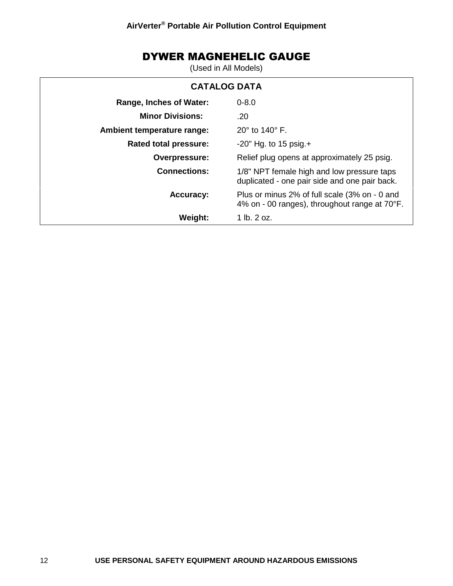## DYWER MAGNEHELIC GAUGE

(Used in All Models)

| <b>CATALOG DATA</b>        |                                                                                                |  |  |  |
|----------------------------|------------------------------------------------------------------------------------------------|--|--|--|
| Range, Inches of Water:    | $0 - 8.0$                                                                                      |  |  |  |
| <b>Minor Divisions:</b>    | .20                                                                                            |  |  |  |
| Ambient temperature range: | $20^\circ$ to 140 $^\circ$ F.                                                                  |  |  |  |
| Rated total pressure:      | $-20$ " Hg. to 15 psig. +                                                                      |  |  |  |
| Overpressure:              | Relief plug opens at approximately 25 psig.                                                    |  |  |  |
| <b>Connections:</b>        | 1/8" NPT female high and low pressure taps<br>duplicated - one pair side and one pair back.    |  |  |  |
| <b>Accuracy:</b>           | Plus or minus 2% of full scale (3% on - 0 and<br>4% on - 00 ranges), throughout range at 70°F. |  |  |  |
| Weight:                    | 1 lb. 2 oz.                                                                                    |  |  |  |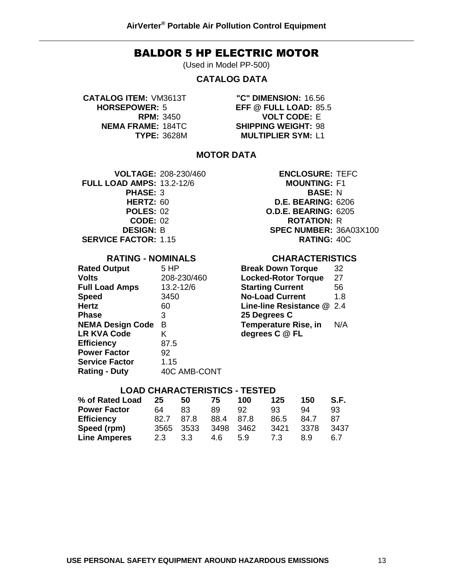#### BALDOR 5 HP ELECTRIC MOTOR

(Used in Model PP-500)

#### **CATALOG DATA**

**CATALOG ITEM:** VM3613T **"C" DIMENSION:** 16.56

**HORSEPOWER:** 5 **EFF @ FULL LOAD:** 85.5 **RPM:** 3450 **VOLT CODE:** E **NEMA FRAME:** 184TC **SHIPPING WEIGHT:** 98 **TYPE:** 3628M **MULTIPLIER SYM:** L1

#### **MOTOR DATA**

**VOLTAGE:** 208-230/460 **ENCLOSURE:** TEFC **FULL LOAD AMPS:** 13.2-12/6 **MOUNTING:** F1 **PHASE:** 3 **BASE:** N **CODE:** 02 **ROTATION:** R

#### **RATING - NOMINALS**

| <b>Rated Output</b>     | 5 HP        |
|-------------------------|-------------|
| <b>Volts</b>            | 208-230/460 |
| <b>Full Load Amps</b>   | 13.2-12/6   |
| <b>Speed</b>            | 3450        |
| <b>Hertz</b>            | 60          |
| <b>Phase</b>            | 3           |
| <b>NEMA Design Code</b> | в           |
| <b>LR KVA Code</b>      | Κ           |
| <b>Efficiency</b>       | 87.5        |
| <b>Power Factor</b>     | 92          |
| <b>Service Factor</b>   | 1.15        |
|                         |             |

**HERTZ:** 60 **D.E. BEARING:** 6206 **POLES:** 02 **O.D.E. BEARING:** 6205 **DESIGN:** B **SPEC NUMBER:** 36A03X100 **SERVICE FACTOR:** 1.15 **RATING:** 40C

#### **CHARACTERISTICS**

| <b>Break Down Torque</b>   | 32  |
|----------------------------|-----|
| <b>Locked-Rotor Torque</b> | 27  |
| <b>Starting Current</b>    | 56  |
| <b>No-Load Current</b>     | 1.8 |
| Line-line Resistance @ 2.4 |     |
| 25 Degrees C               |     |
| Temperature Rise, in       | N/A |
| degrees C @ FL             |     |

#### **LOAD CHARACTERISTICS - TESTED**

| % of Rated Load     | 25   | 50     | 75   | 100  | 125  | 150  | S.F. |
|---------------------|------|--------|------|------|------|------|------|
| <b>Power Factor</b> | 64   | 83     | 89.  | 92   | 93   | 94   | 93   |
| <b>Efficiency</b>   | 82.7 | 87.8   | 88.4 | 87.8 | 86.5 | 84.7 | 87   |
| Speed (rpm)         | 3565 | - 3533 | 3498 | 3462 | 3421 | 3378 | 3437 |
| <b>Line Amperes</b> | 2.3  | 3.3    | 4.6  | 5.9  | 7.3  | 89   | 6.7  |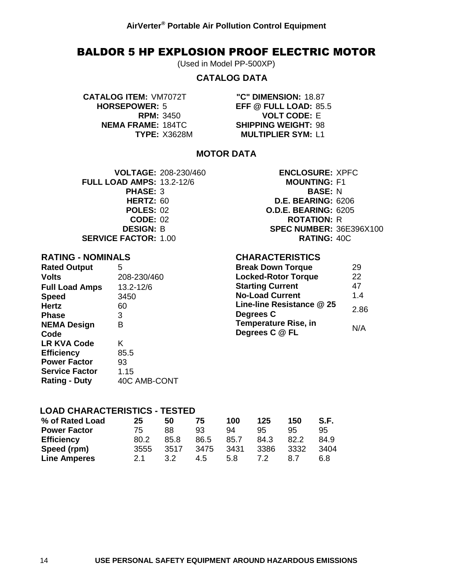#### BALDOR 5 HP EXPLOSION PROOF ELECTRIC MOTOR

(Used in Model PP-500XP)

#### **CATALOG DATA**

**CATALOG ITEM:** VM7072T **"C" DIMENSION:** 18.87

**HORSEPOWER:** 5 **EFF @ FULL LOAD:** 85.5 **RPM:** 3450 **VOLT CODE:** E **NEMA FRAME:** 184TC **SHIPPING WEIGHT:** 98 **TYPE:** X3628M **MULTIPLIER SYM:** L1

**CHARACTERISTICS**

**Line-line Resistance @ 25** 

**Temperature Rise, in** 

**Break Down Torque** 29 **Locked-Rotor Torque** 22 **Starting Current** 47 **No-Load Current** 1.4

**Degrees C** 2.86

**Degrees C** @ FL **N/A** 

#### **MOTOR DATA**

**FULL LOAD AMPS:** 13.2-12/6 **MOUNTING:** F1 **PHASE:** 3 **BASE:** N **SERVICE FACTOR:** 1.00 **RATING:** 40C

**VOLTAGE:** 208-230/460 **ENCLOSURE:** XPFC **HERTZ:** 60 **D.E. BEARING:** 6206 **POLES:** 02 **O.D.E. BEARING:** 6205 **CODE:** 02 **ROTATION:** R **DESIGN:** B **SPEC NUMBER:** 36E396X100

#### **RATING - NOMINALS**

| <b>Rated Output</b>   | 5            |
|-----------------------|--------------|
| <b>Volts</b>          | 208-230/460  |
| <b>Full Load Amps</b> | 13.2-12/6    |
| <b>Speed</b>          | 3450         |
| <b>Hertz</b>          | 60           |
| <b>Phase</b>          | 3            |
| <b>NEMA Design</b>    | в            |
| Code                  |              |
| <b>LR KVA Code</b>    | K            |
| <b>Efficiency</b>     | 85.5         |
| <b>Power Factor</b>   | 93           |
| <b>Service Factor</b> | 1.15         |
| <b>Rating - Duty</b>  | 40C AMB-CONT |

## **LOAD CHARACTERISTICS - TESTED**

| % of Rated Load     | 25   | 50   | 75   | 100  | 125  | 150  | S.F. |
|---------------------|------|------|------|------|------|------|------|
| <b>Power Factor</b> | 75   | 88   | 93   | 94   | 95   | 95   | 95   |
| <b>Efficiency</b>   | 80.2 | 85.8 | 86.5 | 85.7 | 84.3 | 82.2 | 84.9 |
| Speed (rpm)         | 3555 | 3517 | 3475 | 3431 | 3386 | 3332 | 3404 |
| <b>Line Amperes</b> | 21   | 3.2  | 4.5  | 5.8  | 72   | 8.7  | 6.8  |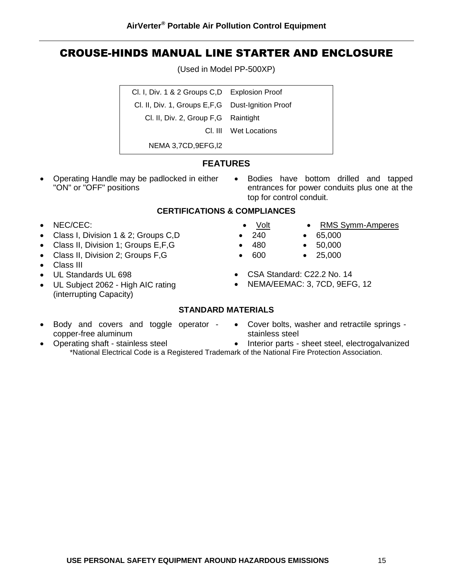## CROUSE-HINDS MANUAL LINE STARTER AND ENCLOSURE

**AirVerter® Portable Air Pollution Control Equipment**

(Used in Model PP-500XP)

| Cl. I, Div. 1 & 2 Groups C, D Explosion Proof      |                       |
|----------------------------------------------------|-----------------------|
| Cl. II, Div. 1, Groups E, F, G Dust-Ignition Proof |                       |
| Cl. II, Div. 2, Group F, G Raintight               |                       |
|                                                    | CI. III Wet Locations |
| NEMA 3,7CD, 9EFG, 12                               |                       |

#### **FEATURES**

- "ON" or "OFF" positions
- Operating Handle may be padlocked in either Bodies have bottom drilled and tapped entrances for power conduits plus one at the top for control conduit.

#### **CERTIFICATIONS & COMPLIANCES**

- NEC/CEC:
- Class I, Division 1 & 2; Groups C,D
- Class II, Division 1; Groups E,F,G
- Class II, Division 2; Groups F, G
- Class III
- UL Standards UL 698
- UL Subject 2062 High AIC rating (interrupting Capacity)
- Volt RMS Symm-Amperes
- $\bullet$  240  $\bullet$  65,000
- $\bullet$  480  $\bullet$  50,000
- $600$   $25,000$
- CSA Standard: C22.2 No. 14
- NEMA/EEMAC: 3, 7CD, 9EFG, 12

#### **STANDARD MATERIALS**

- Body and covers and toggle operator • Cover bolts, washer and retractile springs copper-free aluminum
- stainless steel
- Operating shaft stainless steel • Interior parts - sheet steel, electrogalvanized \*National Electrical Code is a Registered Trademark of the National Fire Protection Association.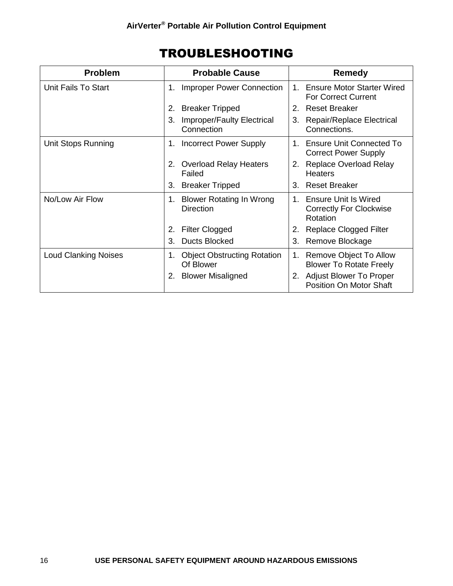| <b>Problem</b>              | <b>Probable Cause</b>                                     | Remedy                                                                     |
|-----------------------------|-----------------------------------------------------------|----------------------------------------------------------------------------|
| Unit Fails To Start         | <b>Improper Power Connection</b><br>1.                    | <b>Ensure Motor Starter Wired</b><br>$1_{-}$<br><b>For Correct Current</b> |
|                             | <b>Breaker Tripped</b><br>2.                              | 2. Reset Breaker                                                           |
|                             | <b>Improper/Faulty Electrical</b><br>3.<br>Connection     | <b>Repair/Replace Electrical</b><br>3.<br>Connections.                     |
| Unit Stops Running          | <b>Incorrect Power Supply</b><br>1.                       | <b>Ensure Unit Connected To</b><br>$1_{-}$<br><b>Correct Power Supply</b>  |
|                             | <b>Overload Relay Heaters</b><br>2.<br>Failed             | <b>Replace Overload Relay</b><br>2.<br><b>Heaters</b>                      |
|                             | <b>Breaker Tripped</b><br>3.                              | <b>Reset Breaker</b><br>3.                                                 |
| No/Low Air Flow             | <b>Blower Rotating In Wrong</b><br>1.<br><b>Direction</b> | 1. Ensure Unit Is Wired<br><b>Correctly For Clockwise</b><br>Rotation      |
|                             | <b>Filter Clogged</b><br>2.                               | <b>Replace Clogged Filter</b><br>2.                                        |
|                             | <b>Ducts Blocked</b><br>3.                                | Remove Blockage<br>3.                                                      |
| <b>Loud Clanking Noises</b> | <b>Object Obstructing Rotation</b><br>1.<br>Of Blower     | Remove Object To Allow<br>1.<br><b>Blower To Rotate Freely</b>             |
|                             | <b>Blower Misaligned</b><br>2.                            | <b>Adjust Blower To Proper</b><br>2.<br>Position On Motor Shaft            |

## TROUBLESHOOTING